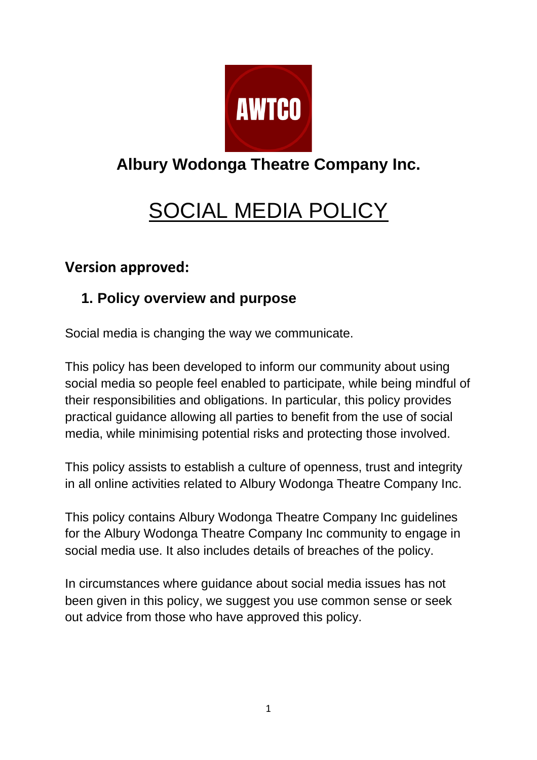

## **Albury Wodonga Theatre Company Inc.**

# SOCIAL MEDIA POLICY

### **Version approved:**

## **1. Policy overview and purpose**

Social media is changing the way we communicate.

This policy has been developed to inform our community about using social media so people feel enabled to participate, while being mindful of their responsibilities and obligations. In particular, this policy provides practical guidance allowing all parties to benefit from the use of social media, while minimising potential risks and protecting those involved.

This policy assists to establish a culture of openness, trust and integrity in all online activities related to Albury Wodonga Theatre Company Inc.

This policy contains Albury Wodonga Theatre Company Inc guidelines for the Albury Wodonga Theatre Company Inc community to engage in social media use. It also includes details of breaches of the policy.

In circumstances where guidance about social media issues has not been given in this policy, we suggest you use common sense or seek out advice from those who have approved this policy.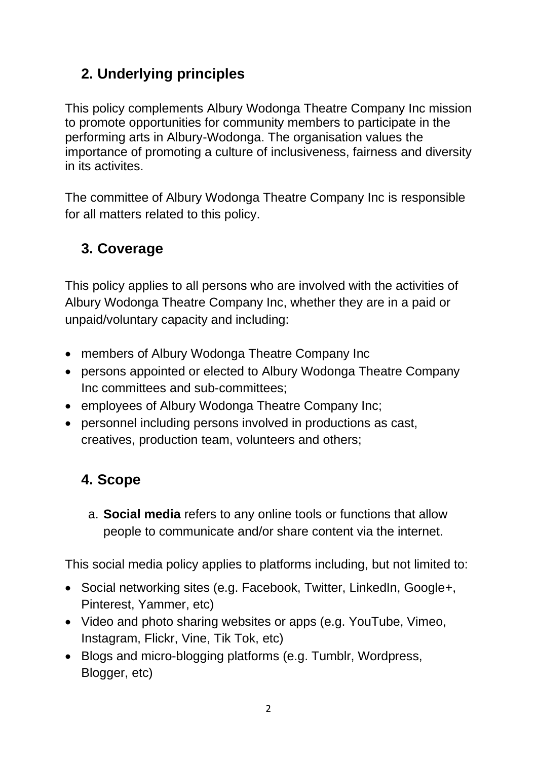## **2. Underlying principles**

This policy complements Albury Wodonga Theatre Company Inc mission to promote opportunities for community members to participate in the performing arts in Albury-Wodonga. The organisation values the importance of promoting a culture of inclusiveness, fairness and diversity in its activites.

The committee of Albury Wodonga Theatre Company Inc is responsible for all matters related to this policy.

## **3. Coverage**

This policy applies to all persons who are involved with the activities of Albury Wodonga Theatre Company Inc, whether they are in a paid or unpaid/voluntary capacity and including:

- members of Albury Wodonga Theatre Company Inc
- persons appointed or elected to Albury Wodonga Theatre Company Inc committees and sub-committees;
- employees of Albury Wodonga Theatre Company Inc;
- personnel including persons involved in productions as cast, creatives, production team, volunteers and others;

## **4. Scope**

a. **Social media** refers to any online tools or functions that allow people to communicate and/or share content via the internet.

This social media policy applies to platforms including, but not limited to:

- Social networking sites (e.g. Facebook, Twitter, LinkedIn, Google+, Pinterest, Yammer, etc)
- Video and photo sharing websites or apps (e.g. YouTube, Vimeo, Instagram, Flickr, Vine, Tik Tok, etc)
- Blogs and micro-blogging platforms (e.g. Tumblr, Wordpress, Blogger, etc)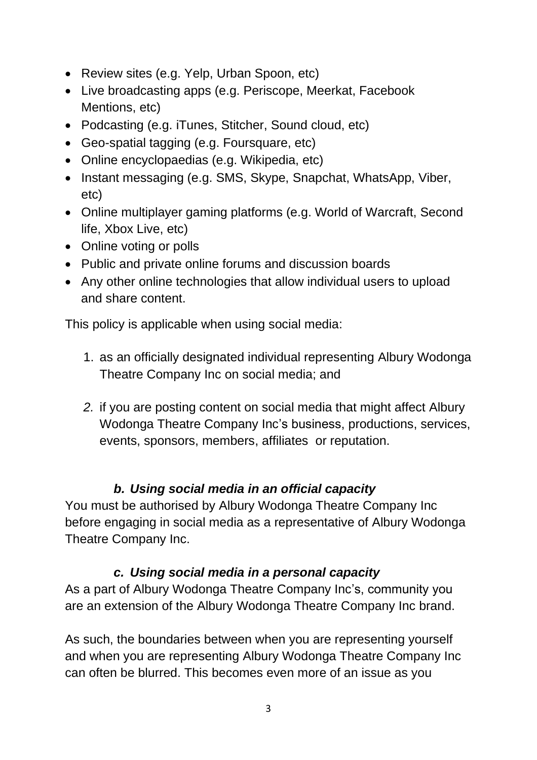- Review sites (e.g. Yelp, Urban Spoon, etc)
- Live broadcasting apps (e.g. Periscope, Meerkat, Facebook Mentions, etc)
- Podcasting (e.g. iTunes, Stitcher, Sound cloud, etc)
- Geo-spatial tagging (e.g. Foursquare, etc)
- Online encyclopaedias (e.g. Wikipedia, etc)
- Instant messaging (e.g. SMS, Skype, Snapchat, WhatsApp, Viber, etc)
- Online multiplayer gaming platforms (e.g. World of Warcraft, Second life, Xbox Live, etc)
- Online voting or polls
- Public and private online forums and discussion boards
- Any other online technologies that allow individual users to upload and share content.

This policy is applicable when using social media:

- 1. as an officially designated individual representing Albury Wodonga Theatre Company Inc on social media; and
- *2.* if you are posting content on social media that might affect Albury Wodonga Theatre Company Inc's business, productions, services, events, sponsors, members, affiliates or reputation.

#### *b. Using social media in an official capacity*

You must be authorised by Albury Wodonga Theatre Company Inc before engaging in social media as a representative of Albury Wodonga Theatre Company Inc.

#### *c. Using social media in a personal capacity*

As a part of Albury Wodonga Theatre Company Inc's, community you are an extension of the Albury Wodonga Theatre Company Inc brand.

As such, the boundaries between when you are representing yourself and when you are representing Albury Wodonga Theatre Company Inc can often be blurred. This becomes even more of an issue as you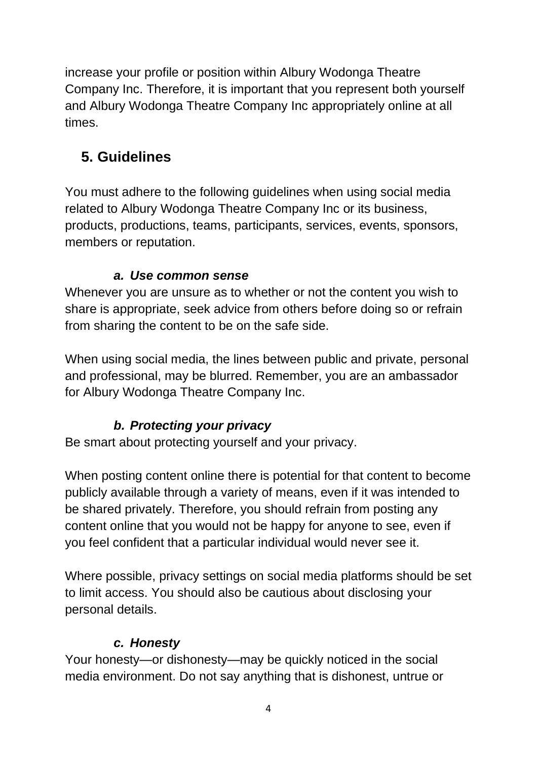increase your profile or position within Albury Wodonga Theatre Company Inc. Therefore, it is important that you represent both yourself and Albury Wodonga Theatre Company Inc appropriately online at all times.

## **5. Guidelines**

You must adhere to the following guidelines when using social media related to Albury Wodonga Theatre Company Inc or its business, products, productions, teams, participants, services, events, sponsors, members or reputation.

#### *a. Use common sense*

Whenever you are unsure as to whether or not the content you wish to share is appropriate, seek advice from others before doing so or refrain from sharing the content to be on the safe side.

When using social media, the lines between public and private, personal and professional, may be blurred. Remember, you are an ambassador for Albury Wodonga Theatre Company Inc.

#### *b. Protecting your privacy*

Be smart about protecting yourself and your privacy.

When posting content online there is potential for that content to become publicly available through a variety of means, even if it was intended to be shared privately. Therefore, you should refrain from posting any content online that you would not be happy for anyone to see, even if you feel confident that a particular individual would never see it.

Where possible, privacy settings on social media platforms should be set to limit access. You should also be cautious about disclosing your personal details.

#### *c. Honesty*

Your honesty—or dishonesty—may be quickly noticed in the social media environment. Do not say anything that is dishonest, untrue or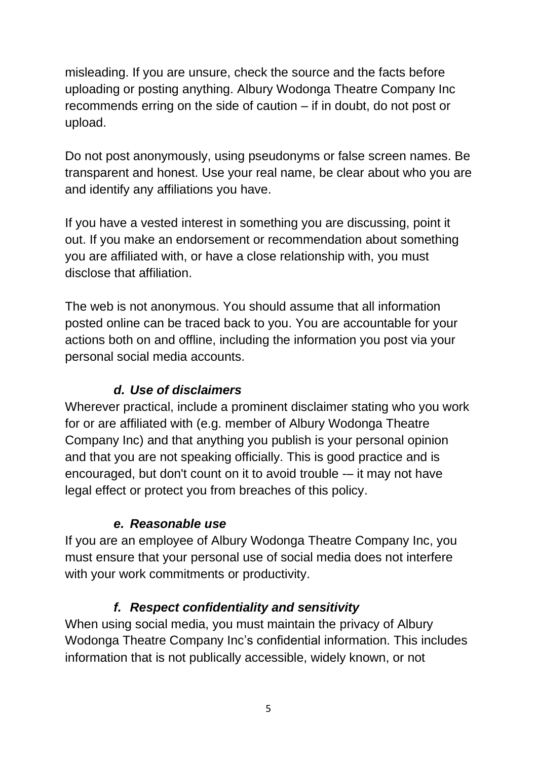misleading. If you are unsure, check the source and the facts before uploading or posting anything. Albury Wodonga Theatre Company Inc recommends erring on the side of caution – if in doubt, do not post or upload.

Do not post anonymously, using pseudonyms or false screen names. Be transparent and honest. Use your real name, be clear about who you are and identify any affiliations you have.

If you have a vested interest in something you are discussing, point it out. If you make an endorsement or recommendation about something you are affiliated with, or have a close relationship with, you must disclose that affiliation.

The web is not anonymous. You should assume that all information posted online can be traced back to you. You are accountable for your actions both on and offline, including the information you post via your personal social media accounts.

#### *d. Use of disclaimers*

Wherever practical, include a prominent disclaimer stating who you work for or are affiliated with (e.g. member of Albury Wodonga Theatre Company Inc) and that anything you publish is your personal opinion and that you are not speaking officially. This is good practice and is encouraged, but don't count on it to avoid trouble -– it may not have legal effect or protect you from breaches of this policy.

#### *e. Reasonable use*

If you are an employee of Albury Wodonga Theatre Company Inc, you must ensure that your personal use of social media does not interfere with your work commitments or productivity.

#### *f. Respect confidentiality and sensitivity*

When using social media, you must maintain the privacy of Albury Wodonga Theatre Company Inc's confidential information. This includes information that is not publically accessible, widely known, or not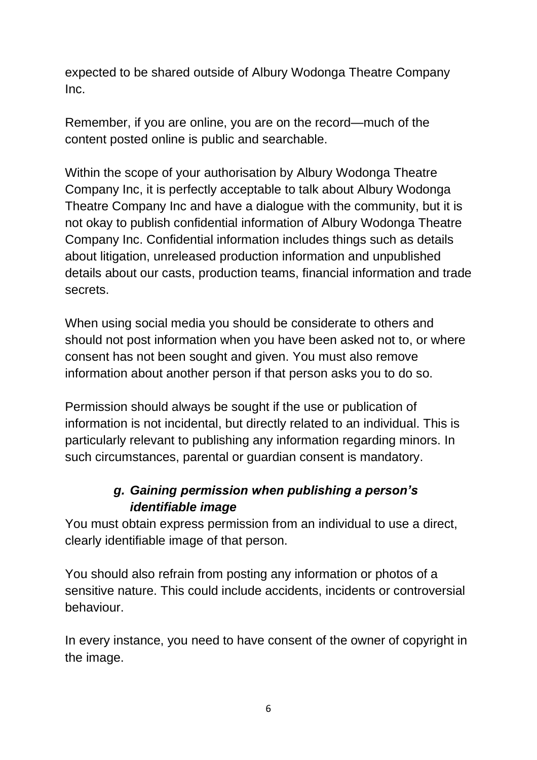expected to be shared outside of Albury Wodonga Theatre Company Inc.

Remember, if you are online, you are on the record—much of the content posted online is public and searchable.

Within the scope of your authorisation by Albury Wodonga Theatre Company Inc, it is perfectly acceptable to talk about Albury Wodonga Theatre Company Inc and have a dialogue with the community, but it is not okay to publish confidential information of Albury Wodonga Theatre Company Inc. Confidential information includes things such as details about litigation, unreleased production information and unpublished details about our casts, production teams, financial information and trade secrets.

When using social media you should be considerate to others and should not post information when you have been asked not to, or where consent has not been sought and given. You must also remove information about another person if that person asks you to do so.

Permission should always be sought if the use or publication of information is not incidental, but directly related to an individual. This is particularly relevant to publishing any information regarding minors. In such circumstances, parental or guardian consent is mandatory.

#### *g. Gaining permission when publishing a person's identifiable image*

You must obtain express permission from an individual to use a direct, clearly identifiable image of that person.

You should also refrain from posting any information or photos of a sensitive nature. This could include accidents, incidents or controversial behaviour.

In every instance, you need to have consent of the owner of copyright in the image.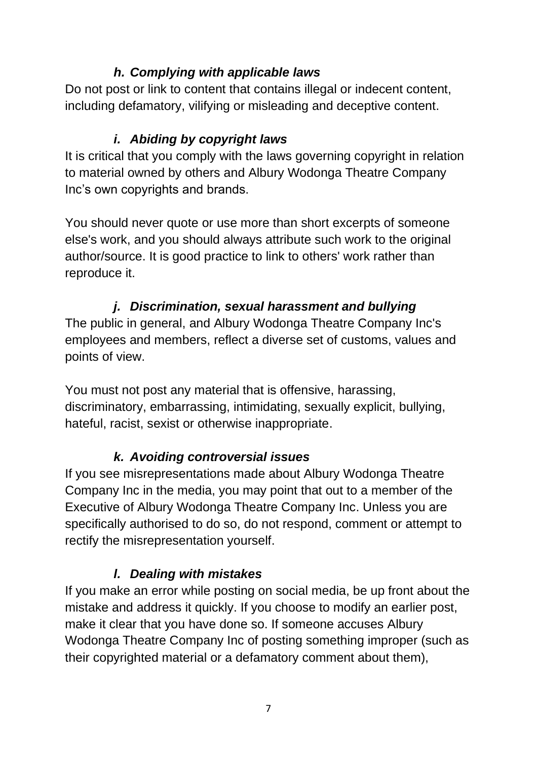#### *h. Complying with applicable laws*

Do not post or link to content that contains illegal or indecent content, including defamatory, vilifying or misleading and deceptive content.

#### *i. Abiding by copyright laws*

It is critical that you comply with the laws governing copyright in relation to material owned by others and Albury Wodonga Theatre Company Inc's own copyrights and brands.

You should never quote or use more than short excerpts of someone else's work, and you should always attribute such work to the original author/source. It is good practice to link to others' work rather than reproduce it.

#### *j. Discrimination, sexual harassment and bullying*

The public in general, and Albury Wodonga Theatre Company Inc's employees and members, reflect a diverse set of customs, values and points of view.

You must not post any material that is offensive, harassing, discriminatory, embarrassing, intimidating, sexually explicit, bullying, hateful, racist, sexist or otherwise inappropriate.

#### *k. Avoiding controversial issues*

If you see misrepresentations made about Albury Wodonga Theatre Company Inc in the media, you may point that out to a member of the Executive of Albury Wodonga Theatre Company Inc. Unless you are specifically authorised to do so, do not respond, comment or attempt to rectify the misrepresentation yourself.

#### *l. Dealing with mistakes*

If you make an error while posting on social media, be up front about the mistake and address it quickly. If you choose to modify an earlier post, make it clear that you have done so. If someone accuses Albury Wodonga Theatre Company Inc of posting something improper (such as their copyrighted material or a defamatory comment about them),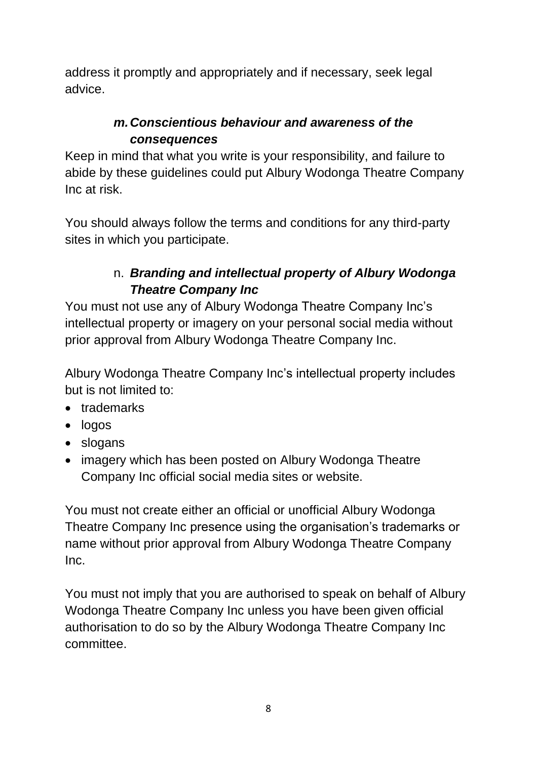address it promptly and appropriately and if necessary, seek legal advice.

#### *m.Conscientious behaviour and awareness of the consequences*

Keep in mind that what you write is your responsibility, and failure to abide by these guidelines could put Albury Wodonga Theatre Company Inc at risk.

You should always follow the terms and conditions for any third-party sites in which you participate.

#### n. *Branding and intellectual property of Albury Wodonga Theatre Company Inc*

You must not use any of Albury Wodonga Theatre Company Inc's intellectual property or imagery on your personal social media without prior approval from Albury Wodonga Theatre Company Inc.

Albury Wodonga Theatre Company Inc's intellectual property includes but is not limited to:

- trademarks
- logos
- slogans
- imagery which has been posted on Albury Wodonga Theatre Company Inc official social media sites or website.

You must not create either an official or unofficial Albury Wodonga Theatre Company Inc presence using the organisation's trademarks or name without prior approval from Albury Wodonga Theatre Company Inc.

You must not imply that you are authorised to speak on behalf of Albury Wodonga Theatre Company Inc unless you have been given official authorisation to do so by the Albury Wodonga Theatre Company Inc committee.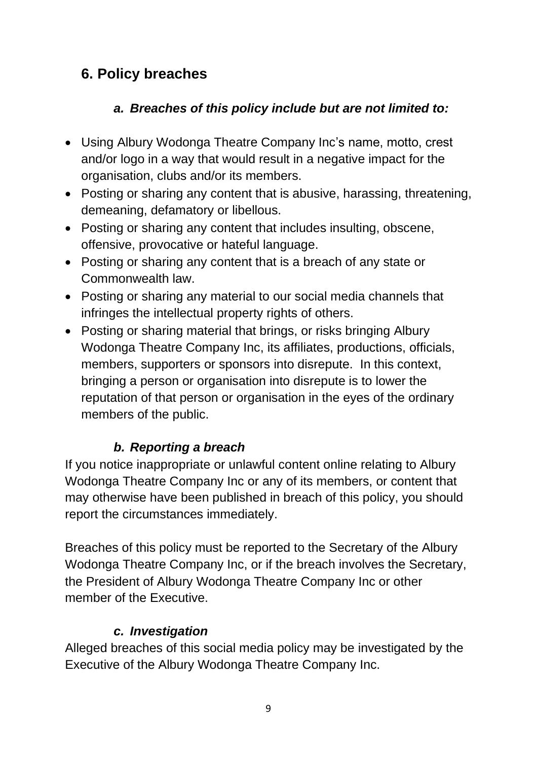## **6. Policy breaches**

#### *a. Breaches of this policy include but are not limited to:*

- Using Albury Wodonga Theatre Company Inc's name, motto, crest and/or logo in a way that would result in a negative impact for the organisation, clubs and/or its members.
- Posting or sharing any content that is abusive, harassing, threatening, demeaning, defamatory or libellous.
- Posting or sharing any content that includes insulting, obscene, offensive, provocative or hateful language.
- Posting or sharing any content that is a breach of any state or Commonwealth law.
- Posting or sharing any material to our social media channels that infringes the intellectual property rights of others.
- Posting or sharing material that brings, or risks bringing Albury Wodonga Theatre Company Inc, its affiliates, productions, officials, members, supporters or sponsors into disrepute. In this context, bringing a person or organisation into disrepute is to lower the reputation of that person or organisation in the eyes of the ordinary members of the public.

#### *b. Reporting a breach*

If you notice inappropriate or unlawful content online relating to Albury Wodonga Theatre Company Inc or any of its members, or content that may otherwise have been published in breach of this policy, you should report the circumstances immediately.

Breaches of this policy must be reported to the Secretary of the Albury Wodonga Theatre Company Inc, or if the breach involves the Secretary, the President of Albury Wodonga Theatre Company Inc or other member of the Executive.

#### *c. Investigation*

Alleged breaches of this social media policy may be investigated by the Executive of the Albury Wodonga Theatre Company Inc.